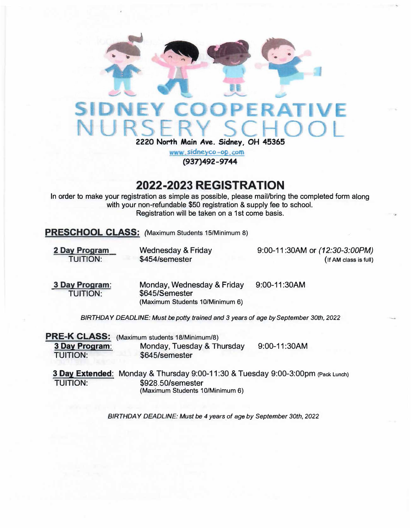

www.sidneyco-op.com **(937)492-9744**

## **2022-2023 REGISTRATION**

In order to make your registration as simple as possible, please mail/bring the completed form along with your non-refundable \$50 registration & supply fee to school. Registration will be taken on a 1st come basis.

**PRESCHOOL CLASS: (Maximum Students 15/Minimum 8)** 

**2 Day Program**  TUITION:

Wednesday & Friday \$454/semester

9:00-11 :30AM or *(12:30-3:00PM)*  **(If AM class is full)** 

**3 Day Program:**  TUITION:

Monday, Wednesday & Friday \$645/Semester **(Maximum Students 10/Minimum 6)** 

9:00-11 :30AM

*BIRTHDAY DEADLINE: Must be potty trained and 3 years of age by September 30th, 2022* 

|                 | <b>PRE-K CLASS:</b> (Maximum students 18/Minimum/8) |              |
|-----------------|-----------------------------------------------------|--------------|
| 3 Day Program:  | Monday, Tuesday & Thursday                          | 9:00-11:30AM |
| <b>TUITION:</b> | \$645/semester                                      |              |

**3 Day Extended:** Monday & Thursday 9:00-11 :30 & Tuesday 9:00-3:00pm (Pack Lunch) TUITION: \$928.50/semester **(Maximum Students 10/Minimum 6)** 

*BIRTHDAY DEADLINE: Must be 4 years of* **age** *by September 30th, 2022*